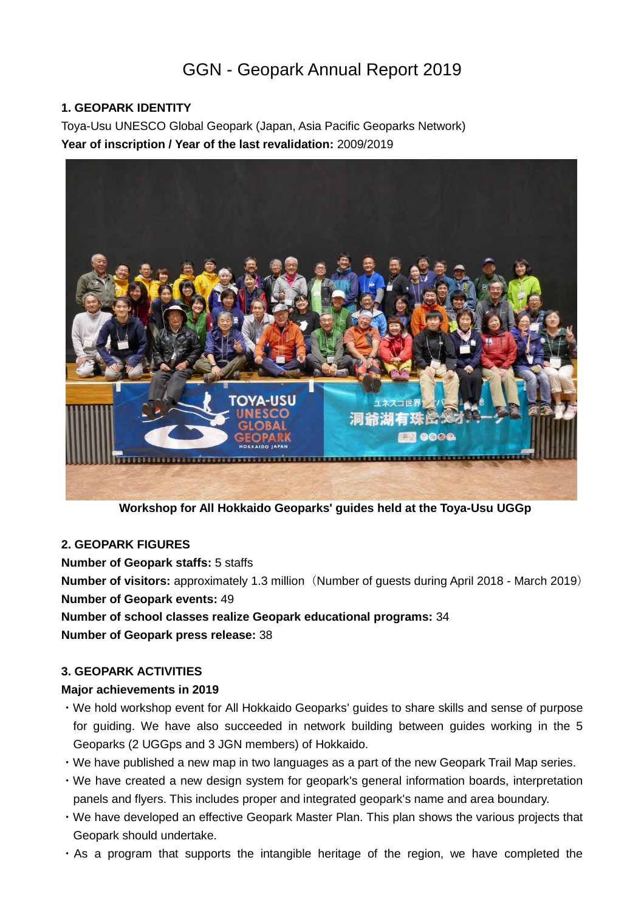# GGN - Geopark Annual Report 2019

## **1. GEOPARK IDENTITY**

Toya-Usu UNESCO Global Geopark (Japan, Asia Pacific Geoparks Network) **Year of inscription / Year of the last revalidation:** 2009/2019



**Workshop for All Hokkaido Geoparks' guides held at the Toya-Usu UGGp**

## **2. GEOPARK FIGURES**

**Number of Geopark staffs:** 5 staffs

**Number of visitors:** approximately 1.3 million (Number of guests during April 2018 - March 2019) **Number of Geopark events:** 49

**Number of school classes realize Geopark educational programs:** 34 **Number of Geopark press release:** 38

#### **3. GEOPARK ACTIVITIES**

#### **Major achievements in 2019**

- ・We hold workshop event for All Hokkaido Geoparks' guides to share skills and sense of purpose for guiding. We have also succeeded in network building between guides working in the 5 Geoparks (2 UGGps and 3 JGN members) of Hokkaido.
- ・We have published a new map in two languages as a part of the new Geopark Trail Map series.
- ・We have created a new design system for geopark's general information boards, interpretation panels and flyers. This includes proper and integrated geopark's name and area boundary.
- ・We have developed an effective Geopark Master Plan. This plan shows the various projects that Geopark should undertake.
- ・As a program that supports the intangible heritage of the region, we have completed the